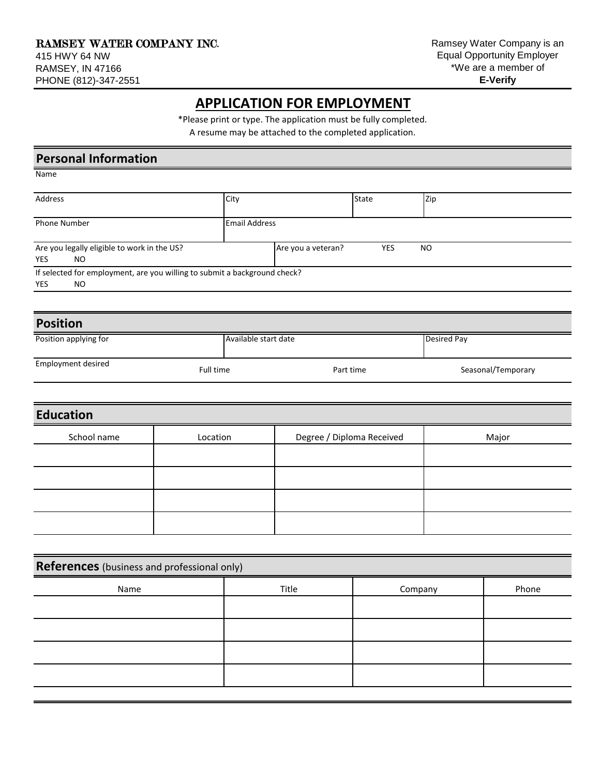## **APPLICATION FOR EMPLOYMENT**

\*Please print or type. The application must be fully completed.

A resume may be attached to the completed application.

| <b>Personal Information</b>                                               |                      |                    |              |     |  |
|---------------------------------------------------------------------------|----------------------|--------------------|--------------|-----|--|
| Name                                                                      |                      |                    |              |     |  |
| Address                                                                   | City                 |                    | <b>State</b> | Zip |  |
| <b>Phone Number</b>                                                       | <b>Email Address</b> |                    |              |     |  |
| Are you legally eligible to work in the US?<br><b>YES</b><br>NO.          |                      | Are you a veteran? | YES          | NO  |  |
| If selected for employment, are you willing to submit a background check? |                      |                    |              |     |  |
| <b>YES</b><br>NO.                                                         |                      |                    |              |     |  |
|                                                                           |                      |                    |              |     |  |

| <b>Position</b>       |                      |           |                    |  |
|-----------------------|----------------------|-----------|--------------------|--|
| Position applying for | Available start date |           | Desired Pay        |  |
| Employment desired    | Full time            | Part time | Seasonal/Temporary |  |

| <b>Education</b> |          |                           |       |
|------------------|----------|---------------------------|-------|
| School name      | Location | Degree / Diploma Received | Major |
|                  |          |                           |       |
|                  |          |                           |       |
|                  |          |                           |       |
|                  |          |                           |       |

| References (business and professional only) |       |         |       |
|---------------------------------------------|-------|---------|-------|
| Name                                        | Title | Company | Phone |
|                                             |       |         |       |
|                                             |       |         |       |
|                                             |       |         |       |
|                                             |       |         |       |